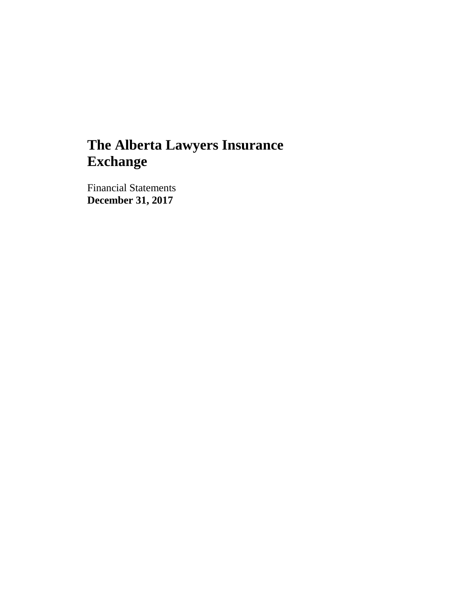# **The Alberta Lawyers Insurance Exchange**

Financial Statements **December 31, 2017**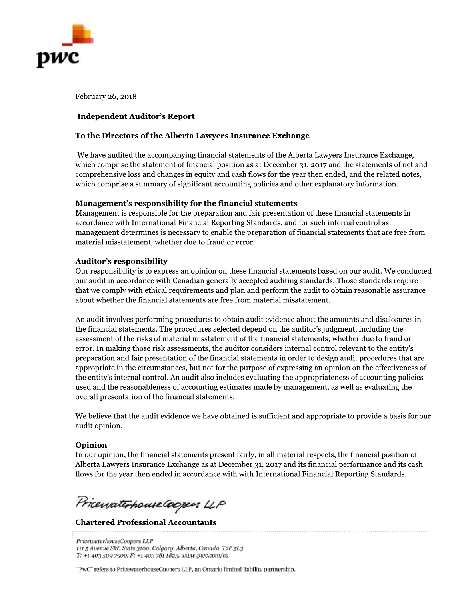

February 26, 2018

#### **Independent Auditor's Report**

#### To the Directors of the Alberta Lawyers Insurance Exchange

We have audited the accompanying financial statements of the Alberta Lawyers Insurance Exchange, which comprise the statement of financial position as at December 31, 2017 and the statements of net and comprehensive loss and changes in equity and cash flows for the year then ended, and the related notes, which comprise a summary of significant accounting policies and other explanatory information.

#### Management's responsibility for the financial statements

Management is responsible for the preparation and fair presentation of these financial statements in accordance with International Financial Reporting Standards, and for such internal control as management determines is necessary to enable the preparation of financial statements that are free from material misstatement, whether due to fraud or error.

#### **Auditor's responsibility**

Our responsibility is to express an opinion on these financial statements based on our audit. We conducted our audit in accordance with Canadian generally accepted auditing standards. Those standards require that we comply with ethical requirements and plan and perform the audit to obtain reasonable assurance about whether the financial statements are free from material misstatement.

An audit involves performing procedures to obtain audit evidence about the amounts and disclosures in the financial statements. The procedures selected depend on the auditor's judgment, including the assessment of the risks of material misstatement of the financial statements, whether due to fraud or error. In making those risk assessments, the auditor considers internal control relevant to the entity's preparation and fair presentation of the financial statements in order to design audit procedures that are appropriate in the circumstances, but not for the purpose of expressing an opinion on the effectiveness of the entity's internal control. An audit also includes evaluating the appropriateness of accounting policies used and the reasonableness of accounting estimates made by management, as well as evaluating the overall presentation of the financial statements.

We believe that the audit evidence we have obtained is sufficient and appropriate to provide a basis for our audit opinion.

#### Opinion

In our opinion, the financial statements present fairly, in all material respects, the financial position of Alberta Lawyers Insurance Exchange as at December 31, 2017 and its financial performance and its cash flows for the year then ended in accordance with with International Financial Reporting Standards.

Pricevaterhouse@opers LLP

**Chartered Professional Accountants** 

PricewaterhouseCoopers LLP

111 5 Avenue SW, Suite 3100, Calgary, Alberta, Canada T2P 5L3 T: +1 403 509 7500, F: +1 403 781 1825, www.pwc.com/ca

"PwC" refers to PricewaterhouseCoopers LLP, an Ontario limited liability partnership.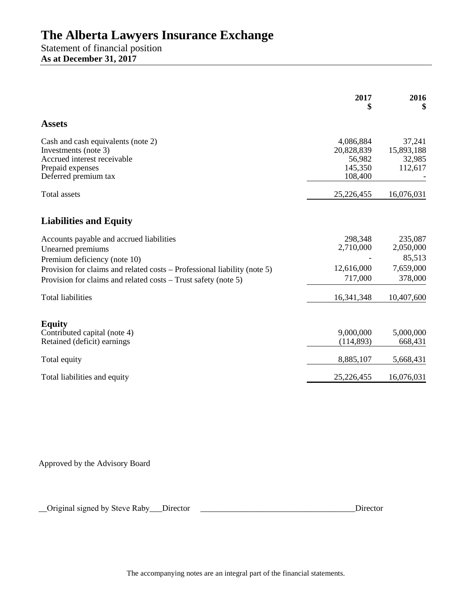# **The Alberta Lawyers Insurance Exchange**

Statement of financial position **As at December 31, 2017** 

|                                                                                                                                                                                                                                             | 2017<br>\$                                              | 2016<br>\$                                             |
|---------------------------------------------------------------------------------------------------------------------------------------------------------------------------------------------------------------------------------------------|---------------------------------------------------------|--------------------------------------------------------|
| <b>Assets</b>                                                                                                                                                                                                                               |                                                         |                                                        |
| Cash and cash equivalents (note 2)<br>Investments (note 3)<br>Accrued interest receivable<br>Prepaid expenses<br>Deferred premium tax                                                                                                       | 4,086,884<br>20,828,839<br>56,982<br>145,350<br>108,400 | 37,241<br>15,893,188<br>32,985<br>112,617              |
| <b>Total</b> assets                                                                                                                                                                                                                         | 25,226,455                                              | 16,076,031                                             |
| <b>Liabilities and Equity</b>                                                                                                                                                                                                               |                                                         |                                                        |
| Accounts payable and accrued liabilities<br>Unearned premiums<br>Premium deficiency (note 10)<br>Provision for claims and related costs - Professional liability (note 5)<br>Provision for claims and related costs – Trust safety (note 5) | 298,348<br>2,710,000<br>12,616,000<br>717,000           | 235,087<br>2,050,000<br>85,513<br>7,659,000<br>378,000 |
| <b>Total liabilities</b>                                                                                                                                                                                                                    | 16,341,348                                              | 10,407,600                                             |
| <b>Equity</b><br>Contributed capital (note 4)<br>Retained (deficit) earnings                                                                                                                                                                | 9,000,000<br>(114, 893)                                 | 5,000,000<br>668,431                                   |
| Total equity                                                                                                                                                                                                                                | 8,885,107                                               | 5,668,431                                              |
| Total liabilities and equity                                                                                                                                                                                                                | 25,226,455                                              | 16,076,031                                             |

Approved by the Advisory Board

\_Original signed by Steve Raby, QC\_\_Director \_Original signed by Dale Spackman, QC \_\_\_Director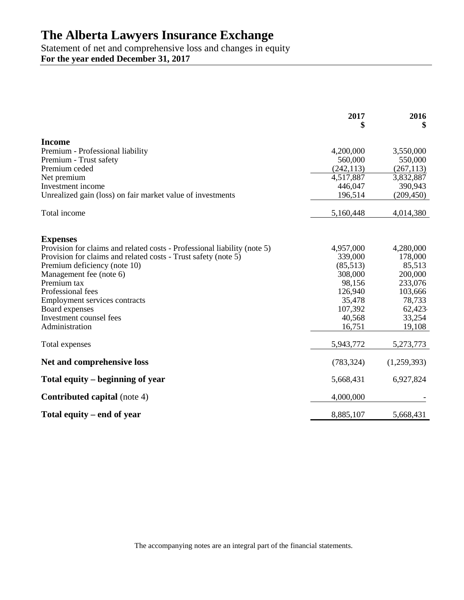# **The Alberta Lawyers Insurance Exchange**

Statement of net and comprehensive loss and changes in equity **For the year ended December 31, 2017**

|                                                                          | 2017       | 2016        |
|--------------------------------------------------------------------------|------------|-------------|
| <b>Income</b>                                                            |            |             |
| Premium - Professional liability                                         | 4,200,000  | 3,550,000   |
| Premium - Trust safety                                                   | 560,000    | 550,000     |
| Premium ceded                                                            | (242, 113) | (267, 113)  |
| Net premium                                                              | 4,517,887  | 3,832,887   |
| Investment income                                                        | 446,047    | 390,943     |
| Unrealized gain (loss) on fair market value of investments               | 196,514    | (209, 450)  |
| Total income                                                             | 5,160,448  | 4,014,380   |
| <b>Expenses</b>                                                          |            |             |
| Provision for claims and related costs - Professional liability (note 5) | 4,957,000  | 4,280,000   |
| Provision for claims and related costs - Trust safety (note 5)           | 339,000    | 178,000     |
| Premium deficiency (note 10)                                             | (85,513)   | 85,513      |
| Management fee (note 6)                                                  | 308,000    | 200,000     |
| Premium tax                                                              | 98,156     | 233,076     |
| Professional fees                                                        | 126,940    | 103,666     |
| <b>Employment services contracts</b>                                     | 35,478     | 78,733      |
| Board expenses                                                           | 107,392    | 62,423      |
| Investment counsel fees                                                  | 40,568     | 33,254      |
| Administration                                                           | 16,751     | 19,108      |
| Total expenses                                                           | 5,943,772  | 5,273,773   |
| Net and comprehensive loss                                               | (783, 324) | (1,259,393) |
| Total equity – beginning of year                                         | 5,668,431  | 6,927,824   |
| <b>Contributed capital</b> (note 4)                                      | 4,000,000  |             |
| Total equity – end of year                                               | 8,885,107  | 5,668,431   |

The accompanying notes are an integral part of the financial statements.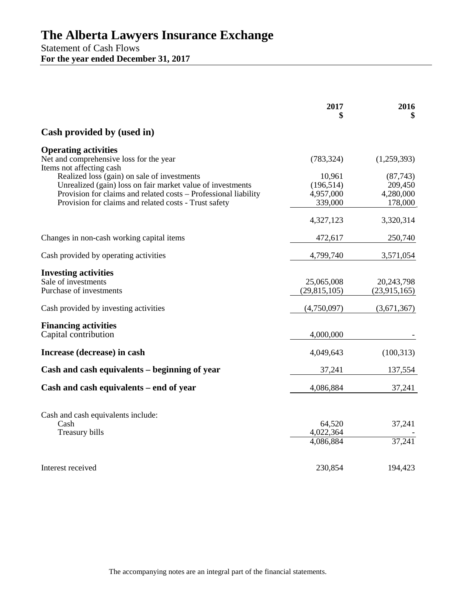# **The Alberta Lawyers Insurance Exchange**

Statement of Cash Flows **For the year ended December 31, 2017**

|                                                                                                                                                                                                                                       | 2017                                         | 2016                                        |
|---------------------------------------------------------------------------------------------------------------------------------------------------------------------------------------------------------------------------------------|----------------------------------------------|---------------------------------------------|
| Cash provided by (used in)                                                                                                                                                                                                            |                                              |                                             |
| <b>Operating activities</b><br>Net and comprehensive loss for the year<br>Items not affecting cash                                                                                                                                    | (783, 324)                                   | (1,259,393)                                 |
| Realized loss (gain) on sale of investments<br>Unrealized (gain) loss on fair market value of investments<br>Provision for claims and related costs - Professional liability<br>Provision for claims and related costs - Trust safety | 10,961<br>(196, 514)<br>4,957,000<br>339,000 | (87,743)<br>209,450<br>4,280,000<br>178,000 |
|                                                                                                                                                                                                                                       | 4,327,123                                    | 3,320,314                                   |
| Changes in non-cash working capital items                                                                                                                                                                                             | 472,617                                      | 250,740                                     |
| Cash provided by operating activities                                                                                                                                                                                                 | 4,799,740                                    | 3,571,054                                   |
| <b>Investing activities</b><br>Sale of investments<br>Purchase of investments                                                                                                                                                         | 25,065,008<br>(29, 815, 105)                 | 20,243,798<br>(23,915,165)                  |
| Cash provided by investing activities                                                                                                                                                                                                 | (4,750,097)                                  | (3,671,367)                                 |
| <b>Financing activities</b><br>Capital contribution                                                                                                                                                                                   | 4,000,000                                    |                                             |
| Increase (decrease) in cash                                                                                                                                                                                                           | 4,049,643                                    | (100, 313)                                  |
| Cash and cash equivalents – beginning of year                                                                                                                                                                                         | 37,241                                       | 137,554                                     |
| Cash and cash equivalents – end of year                                                                                                                                                                                               | 4,086,884                                    | 37,241                                      |
| Cash and cash equivalents include:<br>Cash<br>Treasury bills                                                                                                                                                                          | 64,520<br>4,022,364<br>4,086,884             | 37,241<br>37,241                            |
| Interest received                                                                                                                                                                                                                     | 230,854                                      | 194,423                                     |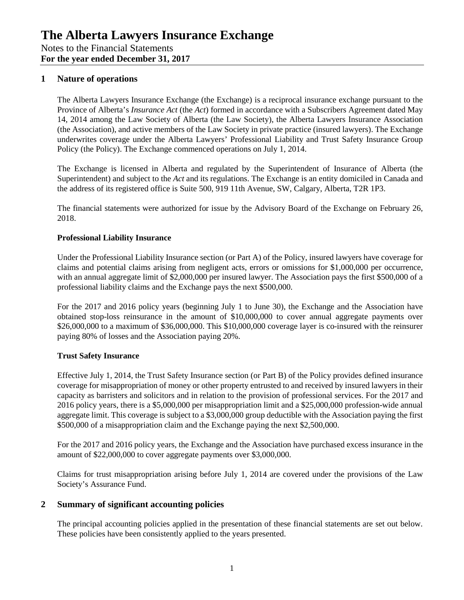# **1 Nature of operations**

The Alberta Lawyers Insurance Exchange (the Exchange) is a reciprocal insurance exchange pursuant to the Province of Alberta's *Insurance Act* (the *Act*) formed in accordance with a Subscribers Agreement dated May 14, 2014 among the Law Society of Alberta (the Law Society), the Alberta Lawyers Insurance Association (the Association), and active members of the Law Society in private practice (insured lawyers). The Exchange underwrites coverage under the Alberta Lawyers' Professional Liability and Trust Safety Insurance Group Policy (the Policy). The Exchange commenced operations on July 1, 2014.

The Exchange is licensed in Alberta and regulated by the Superintendent of Insurance of Alberta (the Superintendent) and subject to the *Act* and its regulations. The Exchange is an entity domiciled in Canada and the address of its registered office is Suite 500, 919 11th Avenue, SW, Calgary, Alberta, T2R 1P3.

The financial statements were authorized for issue by the Advisory Board of the Exchange on February 26, 2018.

# **Professional Liability Insurance**

Under the Professional Liability Insurance section (or Part A) of the Policy, insured lawyers have coverage for claims and potential claims arising from negligent acts, errors or omissions for \$1,000,000 per occurrence, with an annual aggregate limit of \$2,000,000 per insured lawyer. The Association pays the first \$500,000 of a professional liability claims and the Exchange pays the next \$500,000.

For the 2017 and 2016 policy years (beginning July 1 to June 30), the Exchange and the Association have obtained stop-loss reinsurance in the amount of \$10,000,000 to cover annual aggregate payments over \$26,000,000 to a maximum of \$36,000,000. This \$10,000,000 coverage layer is co-insured with the reinsurer paying 80% of losses and the Association paying 20%.

#### **Trust Safety Insurance**

Effective July 1, 2014, the Trust Safety Insurance section (or Part B) of the Policy provides defined insurance coverage for misappropriation of money or other property entrusted to and received by insured lawyers in their capacity as barristers and solicitors and in relation to the provision of professional services. For the 2017 and 2016 policy years, there is a \$5,000,000 per misappropriation limit and a \$25,000,000 profession-wide annual aggregate limit. This coverage is subject to a \$3,000,000 group deductible with the Association paying the first \$500,000 of a misappropriation claim and the Exchange paying the next \$2,500,000.

For the 2017 and 2016 policy years, the Exchange and the Association have purchased excess insurance in the amount of \$22,000,000 to cover aggregate payments over \$3,000,000.

Claims for trust misappropriation arising before July 1, 2014 are covered under the provisions of the Law Society's Assurance Fund.

# **2 Summary of significant accounting policies**

The principal accounting policies applied in the presentation of these financial statements are set out below. These policies have been consistently applied to the years presented.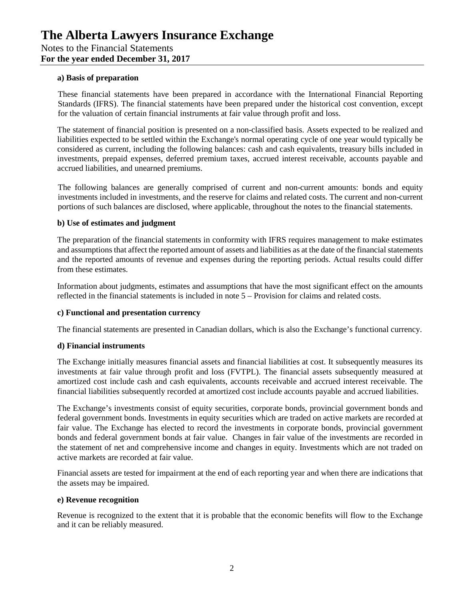#### **a) Basis of preparation**

These financial statements have been prepared in accordance with the International Financial Reporting Standards (IFRS). The financial statements have been prepared under the historical cost convention, except for the valuation of certain financial instruments at fair value through profit and loss.

The statement of financial position is presented on a non-classified basis. Assets expected to be realized and liabilities expected to be settled within the Exchange's normal operating cycle of one year would typically be considered as current, including the following balances: cash and cash equivalents, treasury bills included in investments, prepaid expenses, deferred premium taxes, accrued interest receivable, accounts payable and accrued liabilities, and unearned premiums.

The following balances are generally comprised of current and non-current amounts: bonds and equity investments included in investments, and the reserve for claims and related costs. The current and non-current portions of such balances are disclosed, where applicable, throughout the notes to the financial statements.

#### **b) Use of estimates and judgment**

The preparation of the financial statements in conformity with IFRS requires management to make estimates and assumptions that affect the reported amount of assets and liabilities as at the date of the financial statements and the reported amounts of revenue and expenses during the reporting periods. Actual results could differ from these estimates.

Information about judgments, estimates and assumptions that have the most significant effect on the amounts reflected in the financial statements is included in note 5 – Provision for claims and related costs.

#### **c) Functional and presentation currency**

The financial statements are presented in Canadian dollars, which is also the Exchange's functional currency.

#### **d) Financial instruments**

The Exchange initially measures financial assets and financial liabilities at cost. It subsequently measures its investments at fair value through profit and loss (FVTPL). The financial assets subsequently measured at amortized cost include cash and cash equivalents, accounts receivable and accrued interest receivable. The financial liabilities subsequently recorded at amortized cost include accounts payable and accrued liabilities.

The Exchange's investments consist of equity securities, corporate bonds, provincial government bonds and federal government bonds. Investments in equity securities which are traded on active markets are recorded at fair value. The Exchange has elected to record the investments in corporate bonds, provincial government bonds and federal government bonds at fair value. Changes in fair value of the investments are recorded in the statement of net and comprehensive income and changes in equity. Investments which are not traded on active markets are recorded at fair value.

Financial assets are tested for impairment at the end of each reporting year and when there are indications that the assets may be impaired.

#### **e) Revenue recognition**

Revenue is recognized to the extent that it is probable that the economic benefits will flow to the Exchange and it can be reliably measured.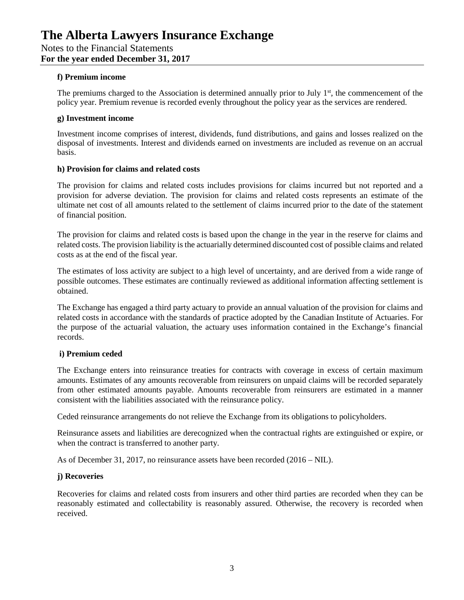#### **f) Premium income**

The premiums charged to the Association is determined annually prior to July  $1<sup>st</sup>$ , the commencement of the policy year. Premium revenue is recorded evenly throughout the policy year as the services are rendered.

#### **g) Investment income**

Investment income comprises of interest, dividends, fund distributions, and gains and losses realized on the disposal of investments. Interest and dividends earned on investments are included as revenue on an accrual basis.

# **h) Provision for claims and related costs**

The provision for claims and related costs includes provisions for claims incurred but not reported and a provision for adverse deviation. The provision for claims and related costs represents an estimate of the ultimate net cost of all amounts related to the settlement of claims incurred prior to the date of the statement of financial position.

The provision for claims and related costs is based upon the change in the year in the reserve for claims and related costs. The provision liability is the actuarially determined discounted cost of possible claims and related costs as at the end of the fiscal year.

The estimates of loss activity are subject to a high level of uncertainty, and are derived from a wide range of possible outcomes. These estimates are continually reviewed as additional information affecting settlement is obtained.

The Exchange has engaged a third party actuary to provide an annual valuation of the provision for claims and related costs in accordance with the standards of practice adopted by the Canadian Institute of Actuaries. For the purpose of the actuarial valuation, the actuary uses information contained in the Exchange's financial records.

#### **i) Premium ceded**

The Exchange enters into reinsurance treaties for contracts with coverage in excess of certain maximum amounts. Estimates of any amounts recoverable from reinsurers on unpaid claims will be recorded separately from other estimated amounts payable. Amounts recoverable from reinsurers are estimated in a manner consistent with the liabilities associated with the reinsurance policy.

Ceded reinsurance arrangements do not relieve the Exchange from its obligations to policyholders.

Reinsurance assets and liabilities are derecognized when the contractual rights are extinguished or expire, or when the contract is transferred to another party.

As of December 31, 2017, no reinsurance assets have been recorded (2016 – NIL).

#### **j) Recoveries**

Recoveries for claims and related costs from insurers and other third parties are recorded when they can be reasonably estimated and collectability is reasonably assured. Otherwise, the recovery is recorded when received.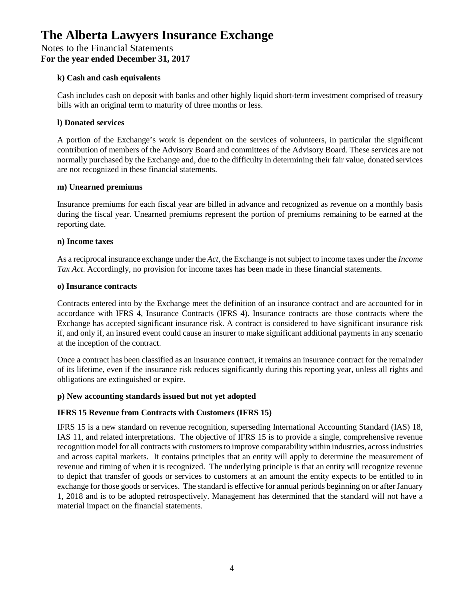#### **k) Cash and cash equivalents**

Cash includes cash on deposit with banks and other highly liquid short-term investment comprised of treasury bills with an original term to maturity of three months or less.

#### **l) Donated services**

A portion of the Exchange's work is dependent on the services of volunteers, in particular the significant contribution of members of the Advisory Board and committees of the Advisory Board. These services are not normally purchased by the Exchange and, due to the difficulty in determining their fair value, donated services are not recognized in these financial statements.

#### **m) Unearned premiums**

Insurance premiums for each fiscal year are billed in advance and recognized as revenue on a monthly basis during the fiscal year. Unearned premiums represent the portion of premiums remaining to be earned at the reporting date.

#### **n) Income taxes**

As a reciprocal insurance exchange under the *Act*, the Exchange is not subject to income taxes under the *Income Tax Act*. Accordingly, no provision for income taxes has been made in these financial statements.

#### **o) Insurance contracts**

Contracts entered into by the Exchange meet the definition of an insurance contract and are accounted for in accordance with IFRS 4, Insurance Contracts (IFRS 4). Insurance contracts are those contracts where the Exchange has accepted significant insurance risk. A contract is considered to have significant insurance risk if, and only if, an insured event could cause an insurer to make significant additional payments in any scenario at the inception of the contract.

Once a contract has been classified as an insurance contract, it remains an insurance contract for the remainder of its lifetime, even if the insurance risk reduces significantly during this reporting year, unless all rights and obligations are extinguished or expire.

#### **p) New accounting standards issued but not yet adopted**

#### **IFRS 15 Revenue from Contracts with Customers (IFRS 15)**

IFRS 15 is a new standard on revenue recognition, superseding International Accounting Standard (IAS) 18, IAS 11, and related interpretations. The objective of IFRS 15 is to provide a single, comprehensive revenue recognition model for all contracts with customers to improve comparability within industries, across industries and across capital markets. It contains principles that an entity will apply to determine the measurement of revenue and timing of when it is recognized. The underlying principle is that an entity will recognize revenue to depict that transfer of goods or services to customers at an amount the entity expects to be entitled to in exchange for those goods or services. The standard is effective for annual periods beginning on or after January 1, 2018 and is to be adopted retrospectively. Management has determined that the standard will not have a material impact on the financial statements.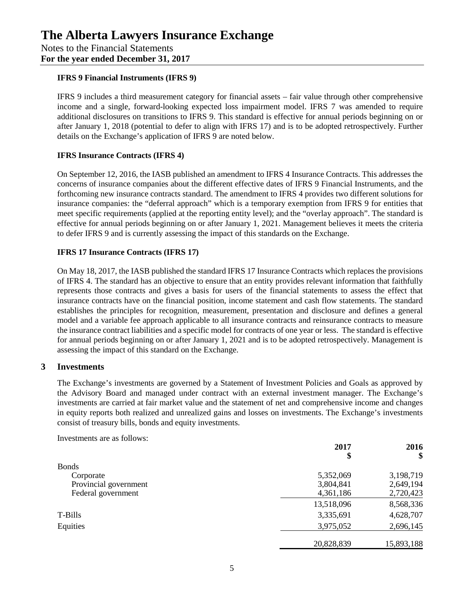# **IFRS 9 Financial Instruments (IFRS 9)**

IFRS 9 includes a third measurement category for financial assets – fair value through other comprehensive income and a single, forward-looking expected loss impairment model. IFRS 7 was amended to require additional disclosures on transitions to IFRS 9. This standard is effective for annual periods beginning on or after January 1, 2018 (potential to defer to align with IFRS 17) and is to be adopted retrospectively. Further details on the Exchange's application of IFRS 9 are noted below.

# **IFRS Insurance Contracts (IFRS 4)**

On September 12, 2016, the IASB published an amendment to IFRS 4 Insurance Contracts. This addresses the concerns of insurance companies about the different effective dates of IFRS 9 Financial Instruments, and the forthcoming new insurance contracts standard. The amendment to IFRS 4 provides two different solutions for insurance companies: the "deferral approach" which is a temporary exemption from IFRS 9 for entities that meet specific requirements (applied at the reporting entity level); and the "overlay approach". The standard is effective for annual periods beginning on or after January 1, 2021. Management believes it meets the criteria to defer IFRS 9 and is currently assessing the impact of this standards on the Exchange.

# **IFRS 17 Insurance Contracts (IFRS 17)**

On May 18, 2017, the IASB published the standard IFRS 17 Insurance Contracts which replaces the provisions of IFRS 4. The standard has an objective to ensure that an entity provides relevant information that faithfully represents those contracts and gives a basis for users of the financial statements to assess the effect that insurance contracts have on the financial position, income statement and cash flow statements. The standard establishes the principles for recognition, measurement, presentation and disclosure and defines a general model and a variable fee approach applicable to all insurance contracts and reinsurance contracts to measure the insurance contract liabilities and a specific model for contracts of one year or less. The standard is effective for annual periods beginning on or after January 1, 2021 and is to be adopted retrospectively. Management is assessing the impact of this standard on the Exchange.

# **3 Investments**

The Exchange's investments are governed by a Statement of Investment Policies and Goals as approved by the Advisory Board and managed under contract with an external investment manager. The Exchange's investments are carried at fair market value and the statement of net and comprehensive income and changes in equity reports both realized and unrealized gains and losses on investments. The Exchange's investments consist of treasury bills, bonds and equity investments.

| Investments are as follows: |            |            |
|-----------------------------|------------|------------|
|                             | 2017       | 2016       |
|                             | \$         | \$         |
| <b>Bonds</b>                |            |            |
| Corporate                   | 5,352,069  | 3,198,719  |
| Provincial government       | 3,804,841  | 2,649,194  |
| Federal government          | 4,361,186  | 2,720,423  |
|                             | 13,518,096 | 8,568,336  |
| T-Bills                     | 3,335,691  | 4,628,707  |
| Equities                    | 3,975,052  | 2,696,145  |
|                             | 20,828,839 | 15,893,188 |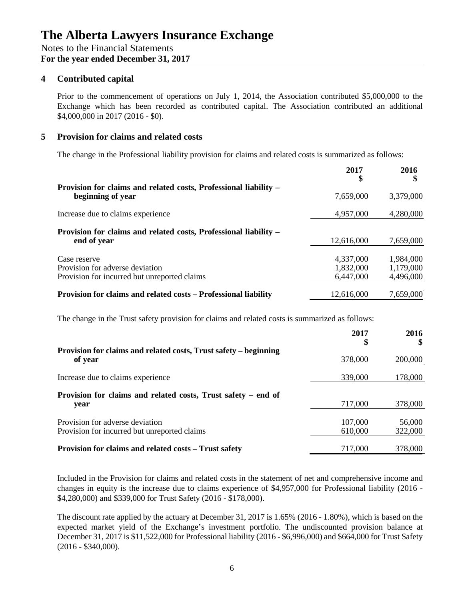# **4 Contributed capital**

Prior to the commencement of operations on July 1, 2014, the Association contributed \$5,000,000 to the Exchange which has been recorded as contributed capital. The Association contributed an additional \$4,000,000 in 2017 (2016 - \$0).

# **5 Provision for claims and related costs**

The change in the Professional liability provision for claims and related costs is summarized as follows:

|                                                                                                 | 2017<br>\$                          | 2016                                |
|-------------------------------------------------------------------------------------------------|-------------------------------------|-------------------------------------|
| Provision for claims and related costs, Professional liability –<br>beginning of year           | 7,659,000                           | 3,379,000                           |
| Increase due to claims experience                                                               | 4,957,000                           | 4,280,000                           |
| Provision for claims and related costs, Professional liability –<br>end of year                 | 12,616,000                          | 7,659,000                           |
| Case reserve<br>Provision for adverse deviation<br>Provision for incurred but unreported claims | 4,337,000<br>1,832,000<br>6,447,000 | 1,984,000<br>1,179,000<br>4,496,000 |
| Provision for claims and related costs – Professional liability                                 | 12,616,000                          | 7,659,000                           |

The change in the Trust safety provision for claims and related costs is summarized as follows:

|                                                                                 | 2017<br>\$         | 2016              |
|---------------------------------------------------------------------------------|--------------------|-------------------|
| Provision for claims and related costs, Trust safety – beginning<br>of year     | 378,000            | 200,000           |
| Increase due to claims experience                                               | 339,000            | 178,000           |
| Provision for claims and related costs, Trust safety – end of<br>year           | 717,000            | 378,000           |
| Provision for adverse deviation<br>Provision for incurred but unreported claims | 107,000<br>610,000 | 56,000<br>322,000 |
| Provision for claims and related costs – Trust safety                           | 717,000            | 378,000           |

Included in the Provision for claims and related costs in the statement of net and comprehensive income and changes in equity is the increase due to claims experience of \$4,957,000 for Professional liability (2016 - \$4,280,000) and \$339,000 for Trust Safety (2016 - \$178,000).

The discount rate applied by the actuary at December 31, 2017 is 1.65% (2016 - 1.80%), which is based on the expected market yield of the Exchange's investment portfolio. The undiscounted provision balance at December 31, 2017 is \$11,522,000 for Professional liability (2016 - \$6,996,000) and \$664,000 for Trust Safety (2016 - \$340,000).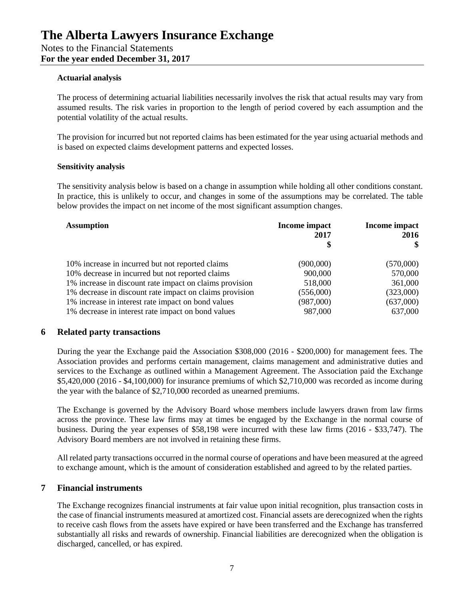#### **Actuarial analysis**

The process of determining actuarial liabilities necessarily involves the risk that actual results may vary from assumed results. The risk varies in proportion to the length of period covered by each assumption and the potential volatility of the actual results.

The provision for incurred but not reported claims has been estimated for the year using actuarial methods and is based on expected claims development patterns and expected losses.

#### **Sensitivity analysis**

The sensitivity analysis below is based on a change in assumption while holding all other conditions constant. In practice, this is unlikely to occur, and changes in some of the assumptions may be correlated. The table below provides the impact on net income of the most significant assumption changes.

| <b>Assumption</b>                                       | Income impact<br>2017 | Income impact<br>2016<br>-SS |
|---------------------------------------------------------|-----------------------|------------------------------|
| 10% increase in incurred but not reported claims        | (900,000)             | (570,000)                    |
| 10% decrease in incurred but not reported claims        | 900,000               | 570,000                      |
| 1% increase in discount rate impact on claims provision | 518,000               | 361,000                      |
| 1% decrease in discount rate impact on claims provision | (556,000)             | (323,000)                    |
| 1% increase in interest rate impact on bond values      | (987,000)             | (637,000)                    |
| 1% decrease in interest rate impact on bond values      | 987,000               | 637,000                      |

#### **6 Related party transactions**

During the year the Exchange paid the Association \$308,000 (2016 - \$200,000) for management fees. The Association provides and performs certain management, claims management and administrative duties and services to the Exchange as outlined within a Management Agreement. The Association paid the Exchange \$5,420,000 (2016 - \$4,100,000) for insurance premiums of which \$2,710,000 was recorded as income during the year with the balance of \$2,710,000 recorded as unearned premiums.

The Exchange is governed by the Advisory Board whose members include lawyers drawn from law firms across the province. These law firms may at times be engaged by the Exchange in the normal course of business. During the year expenses of \$58,198 were incurred with these law firms (2016 - \$33,747). The Advisory Board members are not involved in retaining these firms.

All related party transactions occurred in the normal course of operations and have been measured at the agreed to exchange amount, which is the amount of consideration established and agreed to by the related parties.

# **7 Financial instruments**

The Exchange recognizes financial instruments at fair value upon initial recognition, plus transaction costs in the case of financial instruments measured at amortized cost. Financial assets are derecognized when the rights to receive cash flows from the assets have expired or have been transferred and the Exchange has transferred substantially all risks and rewards of ownership. Financial liabilities are derecognized when the obligation is discharged, cancelled, or has expired.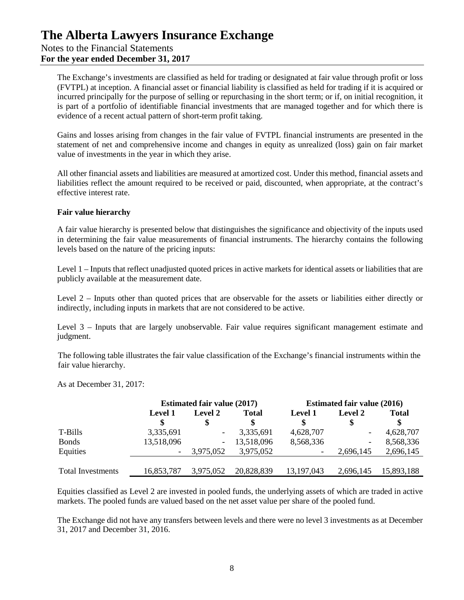The Exchange's investments are classified as held for trading or designated at fair value through profit or loss (FVTPL) at inception. A financial asset or financial liability is classified as held for trading if it is acquired or incurred principally for the purpose of selling or repurchasing in the short term; or if, on initial recognition, it is part of a portfolio of identifiable financial investments that are managed together and for which there is evidence of a recent actual pattern of short-term profit taking.

Gains and losses arising from changes in the fair value of FVTPL financial instruments are presented in the statement of net and comprehensive income and changes in equity as unrealized (loss) gain on fair market value of investments in the year in which they arise.

All other financial assets and liabilities are measured at amortized cost. Under this method, financial assets and liabilities reflect the amount required to be received or paid, discounted, when appropriate, at the contract's effective interest rate.

# **Fair value hierarchy**

A fair value hierarchy is presented below that distinguishes the significance and objectivity of the inputs used in determining the fair value measurements of financial instruments. The hierarchy contains the following levels based on the nature of the pricing inputs:

Level 1 – Inputs that reflect unadjusted quoted prices in active markets for identical assets or liabilities that are publicly available at the measurement date.

Level 2 – Inputs other than quoted prices that are observable for the assets or liabilities either directly or indirectly, including inputs in markets that are not considered to be active.

Level 3 – Inputs that are largely unobservable. Fair value requires significant management estimate and judgment.

The following table illustrates the fair value classification of the Exchange's financial instruments within the fair value hierarchy.

As at December 31, 2017:

|                          |                | <b>Estimated fair value (2017)</b> |              | <b>Estimated fair value (2016)</b> |                |              |
|--------------------------|----------------|------------------------------------|--------------|------------------------------------|----------------|--------------|
|                          | <b>Level 1</b> | <b>Level 2</b>                     | <b>Total</b> | <b>Level 1</b>                     | <b>Level 2</b> | <b>Total</b> |
|                          |                |                                    |              | \$                                 |                |              |
| T-Bills                  | 3,335,691      |                                    | 3,335,691    | 4,628,707                          |                | 4,628,707    |
| <b>Bonds</b>             | 13,518,096     | $\overline{\phantom{a}}$           | 13,518,096   | 8,568,336                          | -              | 8,568,336    |
| Equities                 |                | 3,975,052                          | 3,975,052    | $\overline{\phantom{a}}$           | 2,696,145      | 2,696,145    |
|                          |                |                                    |              |                                    |                |              |
| <b>Total Investments</b> | 16,853,787     | 3,975,052                          | 20,828,839   | 13,197,043                         | 2.696.145      | 15,893,188   |

Equities classified as Level 2 are invested in pooled funds, the underlying assets of which are traded in active markets. The pooled funds are valued based on the net asset value per share of the pooled fund.

The Exchange did not have any transfers between levels and there were no level 3 investments as at December 31, 2017 and December 31, 2016.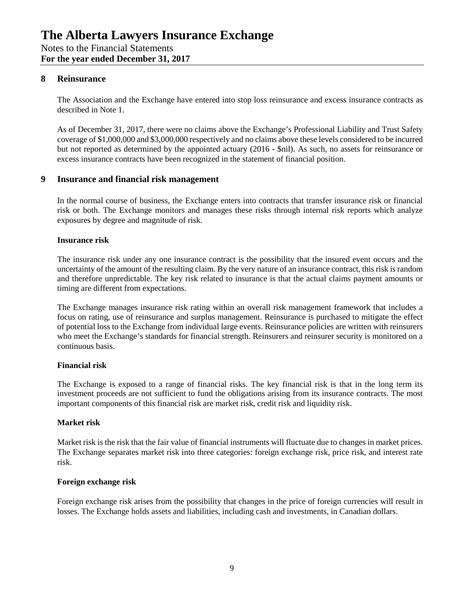# **8 Reinsurance**

The Association and the Exchange have entered into stop loss reinsurance and excess insurance contracts as described in Note 1.

As of December 31, 2017, there were no claims above the Exchange's Professional Liability and Trust Safety coverage of \$1,000,000 and \$3,000,000 respectively and no claims above these levels considered to be incurred but not reported as determined by the appointed actuary (2016 - \$nil). As such, no assets for reinsurance or excess insurance contracts have been recognized in the statement of financial position.

# **9 Insurance and financial risk management**

In the normal course of business, the Exchange enters into contracts that transfer insurance risk or financial risk or both. The Exchange monitors and manages these risks through internal risk reports which analyze exposures by degree and magnitude of risk.

#### **Insurance risk**

The insurance risk under any one insurance contract is the possibility that the insured event occurs and the uncertainty of the amount of the resulting claim. By the very nature of an insurance contract, this risk is random and therefore unpredictable. The key risk related to insurance is that the actual claims payment amounts or timing are different from expectations.

The Exchange manages insurance risk rating within an overall risk management framework that includes a focus on rating, use of reinsurance and surplus management. Reinsurance is purchased to mitigate the effect of potential loss to the Exchange from individual large events. Reinsurance policies are written with reinsurers who meet the Exchange's standards for financial strength. Reinsurers and reinsurer security is monitored on a continuous basis.

#### **Financial risk**

The Exchange is exposed to a range of financial risks. The key financial risk is that in the long term its investment proceeds are not sufficient to fund the obligations arising from its insurance contracts. The most important components of this financial risk are market risk, credit risk and liquidity risk.

#### **Market risk**

Market risk is the risk that the fair value of financial instruments will fluctuate due to changes in market prices. The Exchange separates market risk into three categories: foreign exchange risk, price risk, and interest rate risk.

#### **Foreign exchange risk**

Foreign exchange risk arises from the possibility that changes in the price of foreign currencies will result in losses. The Exchange holds assets and liabilities, including cash and investments, in Canadian dollars.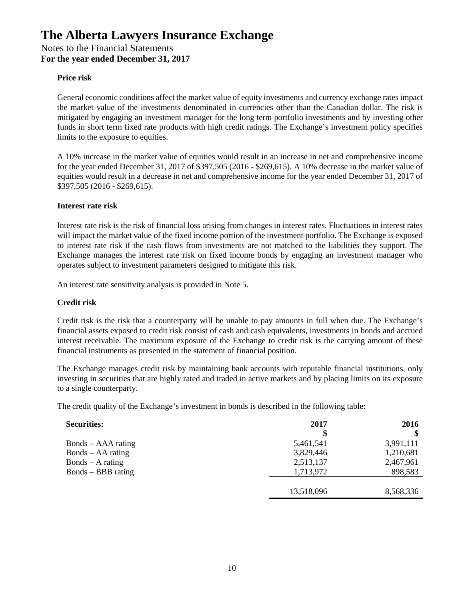#### **Price risk**

General economic conditions affect the market value of equity investments and currency exchange rates impact the market value of the investments denominated in currencies other than the Canadian dollar. The risk is mitigated by engaging an investment manager for the long term portfolio investments and by investing other funds in short term fixed rate products with high credit ratings. The Exchange's investment policy specifies limits to the exposure to equities.

A 10% increase in the market value of equities would result in an increase in net and comprehensive income for the year ended December 31, 2017 of \$397,505 (2016 - \$269,615). A 10% decrease in the market value of equities would result in a decrease in net and comprehensive income for the year ended December 31, 2017 of \$397,505 (2016 - \$269,615).

# **Interest rate risk**

Interest rate risk is the risk of financial loss arising from changes in interest rates. Fluctuations in interest rates will impact the market value of the fixed income portion of the investment portfolio. The Exchange is exposed to interest rate risk if the cash flows from investments are not matched to the liabilities they support. The Exchange manages the interest rate risk on fixed income bonds by engaging an investment manager who operates subject to investment parameters designed to mitigate this risk.

An interest rate sensitivity analysis is provided in Note 5.

#### **Credit risk**

Credit risk is the risk that a counterparty will be unable to pay amounts in full when due. The Exchange's financial assets exposed to credit risk consist of cash and cash equivalents, investments in bonds and accrued interest receivable. The maximum exposure of the Exchange to credit risk is the carrying amount of these financial instruments as presented in the statement of financial position.

The Exchange manages credit risk by maintaining bank accounts with reputable financial institutions, only investing in securities that are highly rated and traded in active markets and by placing limits on its exposure to a single counterparty.

The credit quality of the Exchange's investment in bonds is described in the following table:

| <b>Securities:</b>   | 2017       | 2016      |
|----------------------|------------|-----------|
|                      | \$         |           |
| Bonds – AAA rating   | 5,461,541  | 3,991,111 |
| $Bonds - AA rating$  | 3,829,446  | 1,210,681 |
| $Bonds - A rating$   | 2,513,137  | 2,467,961 |
| $Bonds - BBB rating$ | 1,713,972  | 898,583   |
|                      |            |           |
|                      | 13,518,096 | 8,568,336 |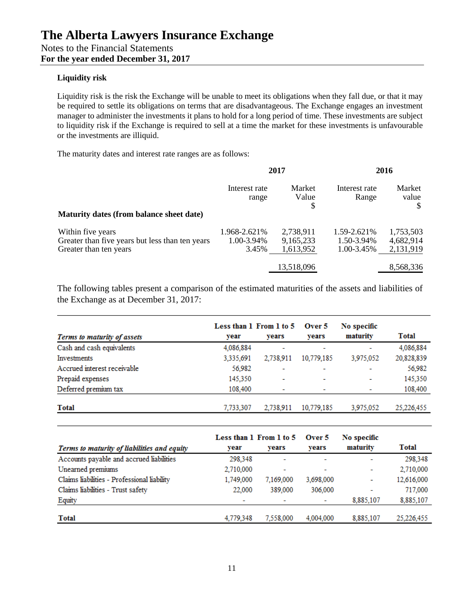# **Liquidity risk**

Liquidity risk is the risk the Exchange will be unable to meet its obligations when they fall due, or that it may be required to settle its obligations on terms that are disadvantageous. The Exchange engages an investment manager to administer the investments it plans to hold for a long period of time. These investments are subject to liquidity risk if the Exchange is required to sell at a time the market for these investments is unfavourable or the investments are illiquid.

The maturity dates and interest rate ranges are as follows:

|                                                 | 2017                   |                      | 2016                   |                 |
|-------------------------------------------------|------------------------|----------------------|------------------------|-----------------|
| Maturity dates (from balance sheet date)        | Interest rate<br>range | Market<br>Value<br>S | Interest rate<br>Range | Market<br>value |
|                                                 |                        |                      |                        |                 |
| Within five years                               | 1.968-2.621%           | 2,738,911            | 1.59-2.621%            | 1,753,503       |
| Greater than five years but less than ten years | 1.00-3.94%             | 9,165,233            | 1.50-3.94%             | 4,682,914       |
| Greater than ten years                          | 3.45%                  | 1,613,952            | 1.00-3.45%             | 2,131,919       |
|                                                 |                        | 13,518,096           |                        | 8,568,336       |

The following tables present a comparison of the estimated maturities of the assets and liabilities of the Exchange as at December 31, 2017:

|                             | Less than 1 From 1 to 5 |                          | Over 5                   | No specific |            |
|-----------------------------|-------------------------|--------------------------|--------------------------|-------------|------------|
| Terms to maturity of assets | year                    | years                    | vears                    | maturity    | Total      |
| Cash and cash equivalents   | 4,086,884               | $\overline{\phantom{0}}$ | $\overline{\phantom{a}}$ |             | 4,086,884  |
| Investments                 | 3,335,691               | 2.738.911                | 10.779.185               | 3.975.052   | 20,828,839 |
| Accrued interest receivable | 56,982                  |                          |                          |             | 56,982     |
| Prepaid expenses            | 145,350                 | $\overline{\phantom{0}}$ | ٠                        |             | 145,350    |
| Deferred premium tax        | 108,400                 | $\overline{\phantom{a}}$ | $\overline{\phantom{a}}$ |             | 108,400    |
| Total                       | 7.733.307               | 2.738.911                | 10,779,185               | 3.975.052   | 25.226.455 |

|                                             | Less than 1 From 1 to 5 |                          | Over 5         | No specific |            |
|---------------------------------------------|-------------------------|--------------------------|----------------|-------------|------------|
| Terms to maturity of liabilities and equity | year                    | vears                    | vears          | maturity    | Total      |
| Accounts payable and accrued liabilities    | 298,348                 | $\overline{\phantom{a}}$ | $\blacksquare$ |             | 298,348    |
| Unearned premiums                           | 2,710,000               | $\overline{\phantom{a}}$ | ٠              |             | 2,710,000  |
| Claims liabilities - Professional liability | 1,749,000               | 7.169.000                | 3.698.000      |             | 12,616,000 |
| Claims liabilities - Trust safety           | 22,000                  | 389,000                  | 306,000        | ٠           | 717,000    |
| Equity                                      | ۰                       | $\overline{\phantom{a}}$ | ٠              | 8.885.107   | 8,885,107  |
| Total                                       | 4,779,348               | 7.558.000                | 4.004.000      | 8.885.107   | 25.226.455 |